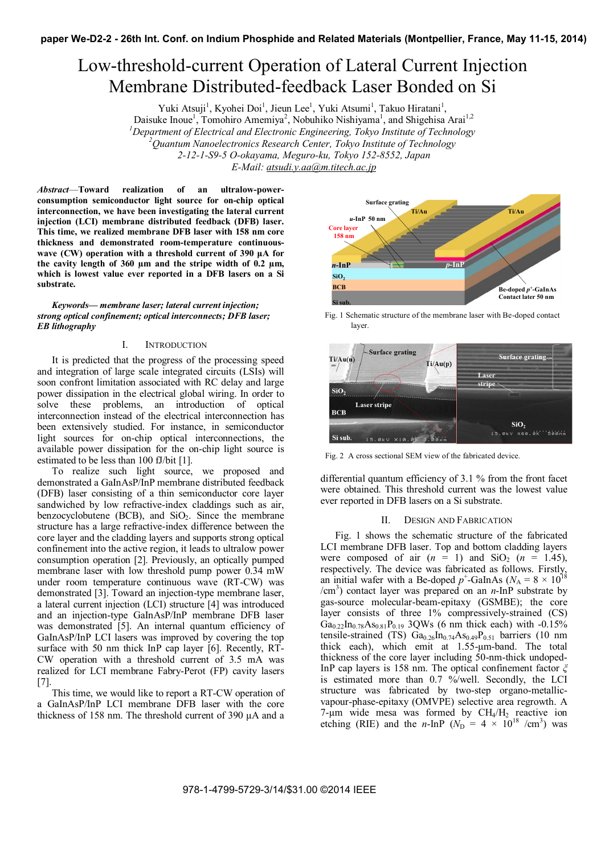# Low-threshold-current Operation of Lateral Current Injection Membrane Distributed-feedback Laser Bonded on Si

Yuki Atsuji<sup>1</sup>, Kyohei Doi<sup>1</sup>, Jieun Lee<sup>1</sup>, Yuki Atsumi<sup>1</sup>, Takuo Hiratani<sup>1</sup>,

Daisuke Inoue<sup>1</sup>, Tomohiro Amemiya<sup>2</sup>, Nobuhiko Nishiyama<sup>1</sup>, and Shigehisa Arai<sup>1,2</sup>

<sup>*1</sup>* Department of Electrical and Electronic Engineering, Tokyo Institute of Technology<br><sup>2</sup> Quantum Nanoglectronics Pescarch Center, Tokyo Institute of Technology</sup>

*Quantum Nanoelectronics Research Center, Tokyo Institute of Technology* 

*2-12-1-S9-5 O-okayama, Meguro-ku, Tokyo 152-8552, Japan*

*E-Mail: atsudi.y.aa@m.titech.ac.jp*

*Abstract*—**Toward realization of an ultralow-powerconsumption semiconductor light source for on-chip optical interconnection, we have been investigating the lateral current injection (LCI) membrane distributed feedback (DFB) laser. This time, we realized membrane DFB laser with 158 nm core thickness and demonstrated room-temperature continuouswave (CW) operation with a threshold current of 390 μA for the cavity length of 360 μm and the stripe width of 0.2 μm, which is lowest value ever reported in a DFB lasers on a Si substrate.** 

*Keywords— membrane laser; lateral current injection; strong optical confinement; optical interconnects; DFB laser; EB lithography* 

## I. INTRODUCTION

It is predicted that the progress of the processing speed and integration of large scale integrated circuits (LSIs) will soon confront limitation associated with RC delay and large power dissipation in the electrical global wiring. In order to solve these problems, an introduction of optical interconnection instead of the electrical interconnection has been extensively studied. For instance, in semiconductor light sources for on-chip optical interconnections, the available power dissipation for the on-chip light source is estimated to be less than 100 fJ/bit [1].

To realize such light source, we proposed and demonstrated a GaInAsP/InP membrane distributed feedback (DFB) laser consisting of a thin semiconductor core layer sandwiched by low refractive-index claddings such as air, benzocyclobutene (BCB), and  $SiO<sub>2</sub>$ . Since the membrane structure has a large refractive-index difference between the core layer and the cladding layers and supports strong optical confinement into the active region, it leads to ultralow power consumption operation [2]. Previously, an optically pumped membrane laser with low threshold pump power 0.34 mW under room temperature continuous wave (RT-CW) was demonstrated [3]. Toward an injection-type membrane laser, a lateral current injection (LCI) structure [4] was introduced and an injection-type GaInAsP/InP membrane DFB laser was demonstrated [5]. An internal quantum efficiency of GaInAsP/InP LCI lasers was improved by covering the top surface with 50 nm thick InP cap layer [6]. Recently, RT-CW operation with a threshold current of 3.5 mA was realized for LCI membrane Fabry-Perot (FP) cavity lasers [7].

This time, we would like to report a RT-CW operation of a GaInAsP/InP LCI membrane DFB laser with the core thickness of 158 nm. The threshold current of 390 μA and a



Fig. 1 Schematic structure of the membrane laser with Be-doped contact layer.



Fig. 2 A cross sectional SEM view of the fabricated device.

differential quantum efficiency of 3.1 % from the front facet were obtained. This threshold current was the lowest value ever reported in DFB lasers on a Si substrate.

### II. DESIGN AND FABRICATION

Fig. 1 shows the schematic structure of the fabricated LCI membrane DFB laser. Top and bottom cladding layers were composed of air  $(n = 1)$  and  $SiO<sub>2</sub>$   $(n = 1.45)$ , respectively. The device was fabricated as follows. Firstly, an initial wafer with a Be-doped  $p^+$ -GaInAs ( $N_A = 8 \times 10^{18}$ /cm<sup>3</sup> ) contact layer was prepared on an *n*-InP substrate by gas-source molecular-beam-epitaxy (GSMBE); the core layer consists of three 1% compressively-strained (CS)  $Ga_{0.22}In_{0.78}As_{0.81}P_{0.19}$  3QWs (6 nm thick each) with -0.15% tensile-strained (TS)  $Ga<sub>0.26</sub>In<sub>0.74</sub>As<sub>0.49</sub>P<sub>0.51</sub> barriers (10 nm)$ thick each), which emit at 1.55-μm-band. The total thickness of the core layer including 50-nm-thick undoped-InP cap layers is 158 nm. The optical confinement factor *ξ* is estimated more than 0.7 %/well. Secondly, the LCI structure was fabricated by two-step organo-metallicvapour-phase-epitaxy (OMVPE) selective area regrowth. A 7-μm wide mesa was formed by  $CH_4/H_2$  reactive ion etching (RIE) and the *n*-InP ( $N_D = 4 \times 10^{18}$  /cm<sup>3</sup>) was